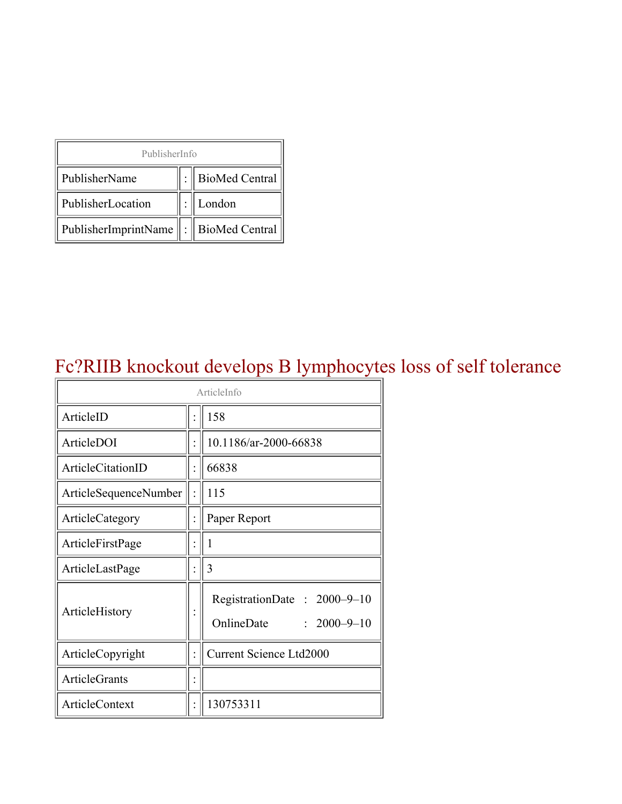| PublisherInfo                               |  |                    |  |  |
|---------------------------------------------|--|--------------------|--|--|
| PublisherName                               |  | :   BioMed Central |  |  |
| PublisherLocation                           |  | London             |  |  |
| PublisherImprintName    :    BioMed Central |  |                    |  |  |

#### Fc?RIIB knockout develops B lymphocytes loss of self tolerance

| ArticleInfo           |  |                                                                |
|-----------------------|--|----------------------------------------------------------------|
| ArticleID             |  | 158                                                            |
| ArticleDOI            |  | 10.1186/ar-2000-66838                                          |
| ArticleCitationID     |  | 66838                                                          |
| ArticleSequenceNumber |  | 115                                                            |
| ArticleCategory       |  | Paper Report                                                   |
| ArticleFirstPage      |  | 1                                                              |
| ArticleLastPage       |  | 3                                                              |
| ArticleHistory        |  | RegistrationDate: 2000-9-10<br>OnlineDate<br>$: 2000 - 9 - 10$ |
| ArticleCopyright      |  | <b>Current Science Ltd2000</b>                                 |
| <b>ArticleGrants</b>  |  |                                                                |
| <b>ArticleContext</b> |  | 130753311                                                      |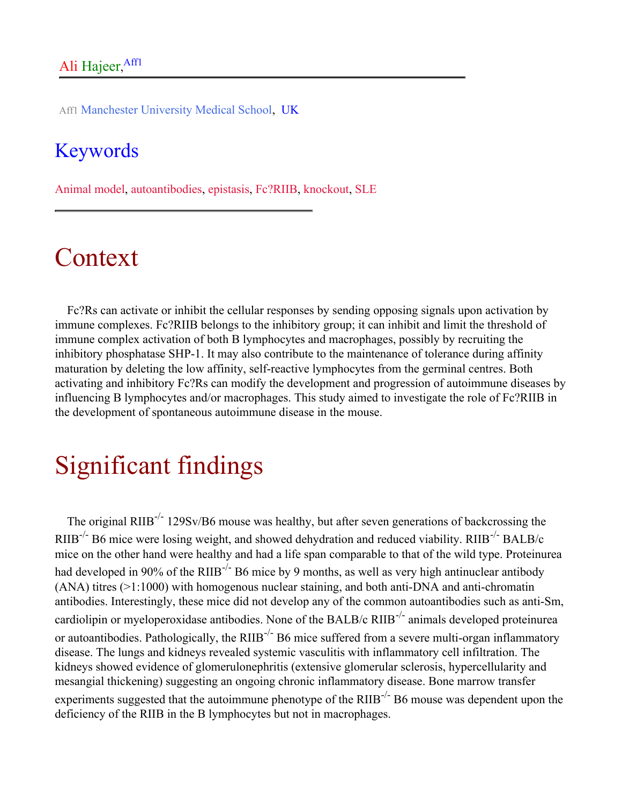Aff1 Manchester University Medical School, UK

#### Keywords

Animal model, autoantibodies, epistasis, Fc?RIIB, knockout, SLE

## Context

Fc?Rs can activate or inhibit the cellular responses by sending opposing signals upon activation by immune complexes. Fc?RIIB belongs to the inhibitory group; it can inhibit and limit the threshold of immune complex activation of both B lymphocytes and macrophages, possibly by recruiting the inhibitory phosphatase SHP-1. It may also contribute to the maintenance of tolerance during affinity maturation by deleting the low affinity, self-reactive lymphocytes from the germinal centres. Both activating and inhibitory Fc?Rs can modify the development and progression of autoimmune diseases by influencing B lymphocytes and/or macrophages. This study aimed to investigate the role of Fc?RIIB in the development of spontaneous autoimmune disease in the mouse.

# Significant findings

The original RIIB<sup>-/-</sup> 129Sv/B6 mouse was healthy, but after seven generations of backcrossing the RIIB-/- B6 mice were losing weight, and showed dehydration and reduced viability. RIIB-/- BALB/c mice on the other hand were healthy and had a life span comparable to that of the wild type. Proteinurea had developed in 90% of the RIIB<sup>-/-</sup> B6 mice by 9 months, as well as very high antinuclear antibody (ANA) titres (>1:1000) with homogenous nuclear staining, and both anti-DNA and anti-chromatin antibodies. Interestingly, these mice did not develop any of the common autoantibodies such as anti-Sm, cardiolipin or myeloperoxidase antibodies. None of the BALB/c RIIB-/- animals developed proteinurea or autoantibodies. Pathologically, the RIIB<sup>-/-</sup> B6 mice suffered from a severe multi-organ inflammatory disease. The lungs and kidneys revealed systemic vasculitis with inflammatory cell infiltration. The kidneys showed evidence of glomerulonephritis (extensive glomerular sclerosis, hypercellularity and mesangial thickening) suggesting an ongoing chronic inflammatory disease. Bone marrow transfer experiments suggested that the autoimmune phenotype of the RIIB<sup>-/-</sup> B6 mouse was dependent upon the deficiency of the RIIB in the B lymphocytes but not in macrophages.